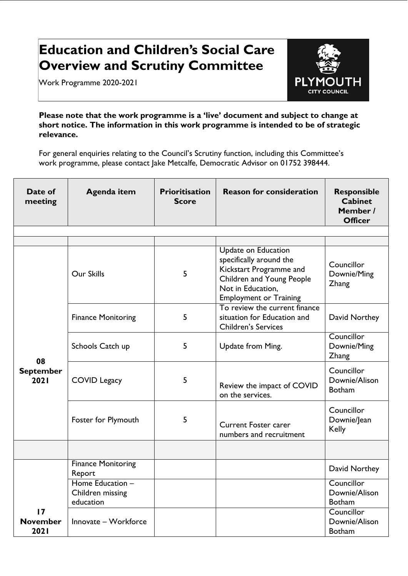## **Education and Children's Social Care Overview and Scrutiny Committee**

Work Programme 2020-2021



**Please note that the work programme is a 'live' document and subject to change at short notice. The information in this work programme is intended to be of strategic relevance.** 

For general enquiries relating to the Council's Scrutiny function, including this Committee's work programme, please contact Jake Metcalfe, Democratic Advisor on 01752 398444.

| Date of<br>meeting             | <b>Agenda item</b>                                | <b>Prioritisation</b><br><b>Score</b> | <b>Reason for consideration</b>                                                                                                                              | <b>Responsible</b><br><b>Cabinet</b><br>Member /<br><b>Officer</b> |
|--------------------------------|---------------------------------------------------|---------------------------------------|--------------------------------------------------------------------------------------------------------------------------------------------------------------|--------------------------------------------------------------------|
|                                |                                                   |                                       |                                                                                                                                                              |                                                                    |
| 08<br><b>September</b><br>2021 | Our Skills                                        | 5                                     | Update on Education<br>specifically around the<br>Kickstart Programme and<br>Children and Young People<br>Not in Education,<br><b>Employment or Training</b> | Councillor<br>Downie/Ming<br><b>Zhang</b>                          |
|                                | <b>Finance Monitoring</b>                         | 5                                     | To review the current finance<br>situation for Education and<br><b>Children's Services</b>                                                                   | David Northey                                                      |
|                                | Schools Catch up                                  | 5                                     | Update from Ming.                                                                                                                                            | Councillor<br>Downie/Ming<br>Zhang                                 |
|                                | <b>COVID Legacy</b>                               | 5                                     | Review the impact of COVID<br>on the services.                                                                                                               | Councillor<br>Downie/Alison<br><b>Botham</b>                       |
|                                | Foster for Plymouth                               | 5                                     | <b>Current Foster carer</b><br>numbers and recruitment                                                                                                       | Councillor<br>Downie/Jean<br><b>Kelly</b>                          |
|                                |                                                   |                                       |                                                                                                                                                              |                                                                    |
|                                | <b>Finance Monitoring</b><br>Report               |                                       |                                                                                                                                                              | David Northey                                                      |
|                                | Home Education -<br>Children missing<br>education |                                       |                                                                                                                                                              | Councillor<br>Downie/Alison<br><b>Botham</b>                       |
| 17<br><b>November</b><br>2021  | Innovate - Workforce                              |                                       |                                                                                                                                                              | Councillor<br>Downie/Alison<br><b>Botham</b>                       |